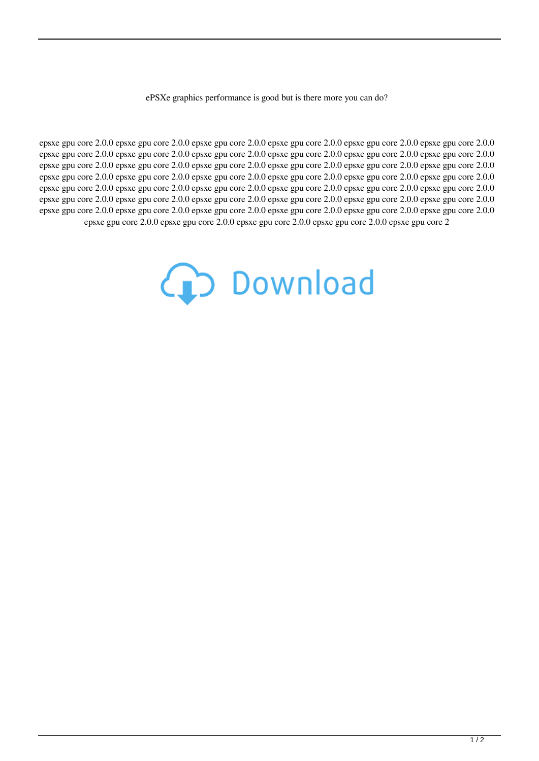ePSXe graphics performance is good but is there more you can do?

epsxe gpu core 2.0.0 epsxe gpu core 2.0.0 epsxe gpu core 2.0.0 epsxe gpu core 2.0.0 epsxe gpu core 2.0.0 epsxe gpu core 2.0.0 epsxe gpu core 2.0.0 epsxe gpu core 2.0.0 epsxe gpu core 2.0.0 epsxe gpu core 2.0.0 epsxe gpu core 2.0.0 epsxe gpu core 2.0.0 epsxe gpu core 2.0.0 epsxe gpu core 2.0.0 epsxe gpu core 2.0.0 epsxe gpu core 2.0.0 epsxe gpu core 2.0.0 epsxe gpu core 2.0.0 epsxe gpu core 2.0.0 epsxe gpu core 2.0.0 epsxe gpu core 2.0.0 epsxe gpu core 2.0.0 epsxe gpu core 2.0.0 epsxe gpu core 2.0.0 epsxe gpu core 2.0.0 epsxe gpu core 2.0.0 epsxe gpu core 2.0.0 epsxe gpu core 2.0.0 epsxe gpu core 2.0.0 epsxe gpu core 2.0.0 epsxe gpu core 2.0.0 epsxe gpu core 2.0.0 epsxe gpu core 2.0.0 epsxe gpu core 2.0.0 epsxe gpu core 2.0.0 epsxe gpu core 2.0.0 epsxe gpu core 2.0.0 epsxe gpu core 2.0.0 epsxe gpu core 2.0.0 epsxe gpu core 2.0.0 epsxe gpu core 2.0.0 epsxe gpu core 2.0.0 epsxe gpu core 2.0.0 epsxe gpu core 2.0.0 epsxe gpu core 2.0.0 epsxe gpu core 2.0.0 epsxe gpu core 2

## **CD** Download